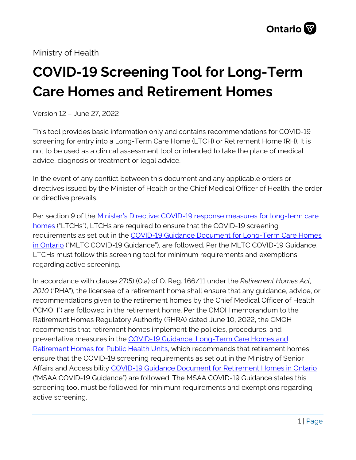Ministry of Health

# **COVID-19 Screening Tool for Long-Term Care Homes and Retirement Homes**

Version 12 – June 27, 2022

This tool provides basic information only and contains recommendations for COVID-19 screening for entry into a Long-Term Care Home (LTCH) or Retirement Home (RH). It is not to be used as a clinical assessment tool or intended to take the place of medical advice, diagnosis or treatment or legal advice.

In the event of any conflict between this document and any applicable orders or directives issued by the Minister of Health or the Chief Medical Officer of Health, the order or directive prevails.

Per section 9 of the Minister's Directive: COVID-19 response measures for long-term care [homes](https://www.ontario.ca/page/ministers-directive-covid-19-response-measures-for-long-term-care-homes) ("LTCHs"), LTCHs are required to ensure that the COVID-19 screening requirements as set out in the [COVID-19 Guidance Document for Long-Term Care Homes](https://www.ontario.ca/page/covid-19-guidance-document-long-term-care-homes-ontario)  [in Ontario](https://www.ontario.ca/page/covid-19-guidance-document-long-term-care-homes-ontario) ("MLTC COVID-19 Guidance"), are followed. Per the MLTC COVID-19 Guidance, LTCHs must follow this screening tool for minimum requirements and exemptions regarding active screening.

In accordance with clause 27(5) (0.a) of O. Reg. 166/11 under the *Retirement Homes Act, 2010* ("RHA")*,* the licensee of a retirement home shall ensure that any guidance, advice, or recommendations given to the retirement homes by the Chief Medical Officer of Health ("CMOH") are followed in the retirement home. Per the CMOH memorandum to the Retirement Homes Regulatory Authority (RHRA) dated June 10, 2022, the CMOH recommends that retirement homes implement the policies, procedures, and preventative measures in the [COVID-19 Guidance: Long-Term Care Homes and](https://www.health.gov.on.ca/en/pro/programs/publichealth/coronavirus/docs/2019_LTC_homes_retirement_homes_for_PHUs_guidance.pdf)  [Retirement Homes for Public Health Units,](https://www.health.gov.on.ca/en/pro/programs/publichealth/coronavirus/docs/2019_LTC_homes_retirement_homes_for_PHUs_guidance.pdf) which recommends that retirement homes ensure that the COVID-19 screening requirements as set out in the Ministry of Senior Affairs and Accessibility [COVID-19 Guidance Document for Retirement Homes in Ontario](https://www.rhra.ca/en/covid-19-coronavirus-update/#1587572471663-60b0b7ab-6d6c) ("MSAA COVID-19 Guidance") are followed. The MSAA COVID-19 Guidance states this screening tool must be followed for minimum requirements and exemptions regarding active screening.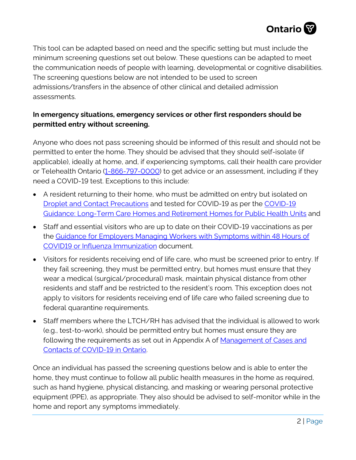

This tool can be adapted based on need and the specific setting but must include the minimum screening questions set out below. These questions can be adapted to meet the communication needs of people with learning, developmental or cognitive disabilities. The screening questions below are not intended to be used to screen admissions/transfers in the absence of other clinical and detailed admission assessments.

### **In emergency situations, emergency services or other first responders should be permitted entry without screening.**

Anyone who does not pass screening should be informed of this result and should not be permitted to enter the home. They should be advised that they should self-isolate (if applicable), ideally at home, and, if experiencing symptoms, call their health care provider or Telehealth Ontario [\(1-866-797-0000\)](tel:+18667970000) to get advice or an assessment, including if they need a COVID-19 test. Exceptions to this include:

- A resident returning to their home, who must be admitted on entry but isolated on [Droplet and Contact Precautions](https://www.publichealthontario.ca/-/media/documents/ncov/ipac/ipac-additional-precautions-acute-care.pdf?la=en) and tested for COVID-19 as per the [COVID-19](https://www.health.gov.on.ca/en/pro/programs/publichealth/coronavirus/docs/2019_LTC_homes_retirement_homes_for_PHUs_guidance.pdf)  [Guidance: Long-Term Care Homes and Retirement Homes for Public Health Units](https://www.health.gov.on.ca/en/pro/programs/publichealth/coronavirus/docs/2019_LTC_homes_retirement_homes_for_PHUs_guidance.pdf) and
- Staff and essential visitors who are up to date on their COVID-19 vaccinations as per the [Guidance for Employers Managing Workers with Symptoms within 48 Hours of](https://www.health.gov.on.ca/en/pro/programs/publichealth/coronavirus/docs/guidance_for_screening_vaccinated_individuals.pdf)  [COVID19 or Influenza Immunization](https://www.health.gov.on.ca/en/pro/programs/publichealth/coronavirus/docs/guidance_for_screening_vaccinated_individuals.pdf) document.
- Visitors for residents receiving end of life care, who must be screened prior to entry. If they fail screening, they must be permitted entry, but homes must ensure that they wear a medical (surgical/procedural) mask, maintain physical distance from other residents and staff and be restricted to the resident's room. This exception does not apply to visitors for residents receiving end of life care who failed screening due to federal quarantine requirements.
- Staff members where the LTCH/RH has advised that the individual is allowed to work (e.g., test-to-work), should be permitted entry but homes must ensure they are following the requirements as set out in Appendix A of Management of Cases and [Contacts of COVID-19 in Ontario.](https://www.health.gov.on.ca/en/pro/programs/publichealth/coronavirus/docs/contact_mngmt/management_cases_contacts.pdf)

Once an individual has passed the screening questions below and is able to enter the home, they must continue to follow all public health measures in the home as required, such as hand hygiene, physical distancing, and masking or wearing personal protective equipment (PPE), as appropriate. They also should be advised to self-monitor while in the home and report any symptoms immediately.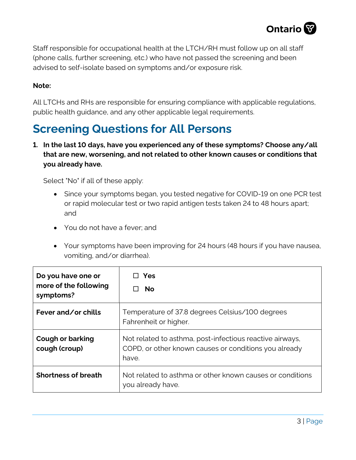

Staff responsible for occupational health at the LTCH/RH must follow up on all staff (phone calls, further screening, etc.) who have not passed the screening and been advised to self-isolate based on symptoms and/or exposure risk.

#### **Note:**

All LTCHs and RHs are responsible for ensuring compliance with applicable regulations, public health guidance, and any other applicable legal requirements.

# **Screening Questions for All Persons**

**1. In the last 10 days, have you experienced any of these symptoms? Choose any/all that are new, worsening, and not related to other known causes or conditions that you already have.**

Select "No" if all of these apply:

- Since your symptoms began, you tested negative for COVID‐19 on one PCR test or rapid molecular test or two rapid antigen tests taken 24 to 48 hours apart; and
- You do not have a fever; and
- Your symptoms have been improving for 24 hours (48 hours if you have nausea, vomiting, and/or diarrhea).

| Do you have one or<br>more of the following<br>symptoms? | Yes<br><b>No</b>                                                                                                           |
|----------------------------------------------------------|----------------------------------------------------------------------------------------------------------------------------|
| Fever and/or chills                                      | Temperature of 37.8 degrees Celsius/100 degrees<br>Fahrenheit or higher.                                                   |
| <b>Cough or barking</b><br>cough (croup)                 | Not related to asthma, post-infectious reactive airways,<br>COPD, or other known causes or conditions you already<br>have. |
| <b>Shortness of breath</b>                               | Not related to asthma or other known causes or conditions<br>you already have.                                             |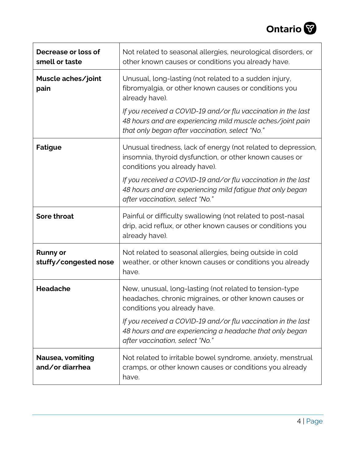

| Decrease or loss of<br>smell or taste    | Not related to seasonal allergies, neurological disorders, or<br>other known causes or conditions you already have.                                                            |
|------------------------------------------|--------------------------------------------------------------------------------------------------------------------------------------------------------------------------------|
| Muscle aches/joint<br>pain               | Unusual, long-lasting (not related to a sudden injury,<br>fibromyalgia, or other known causes or conditions you<br>already have).                                              |
|                                          | If you received a COVID-19 and/or flu vaccination in the last<br>48 hours and are experiencing mild muscle aches/joint pain<br>that only began after vaccination, select "No." |
| <b>Fatigue</b>                           | Unusual tiredness, lack of energy (not related to depression,<br>insomnia, thyroid dysfunction, or other known causes or<br>conditions you already have).                      |
|                                          | If you received a COVID-19 and/or flu vaccination in the last<br>48 hours and are experiencing mild fatigue that only began<br>after vaccination, select "No."                 |
| <b>Sore throat</b>                       | Painful or difficulty swallowing (not related to post-nasal<br>drip, acid reflux, or other known causes or conditions you<br>already have).                                    |
| <b>Runny or</b><br>stuffy/congested nose | Not related to seasonal allergies, being outside in cold<br>weather, or other known causes or conditions you already<br>have.                                                  |
| <b>Headache</b>                          | New, unusual, long-lasting (not related to tension-type<br>headaches, chronic migraines, or other known causes or<br>conditions you already have.                              |
|                                          | If you received a COVID-19 and/or flu vaccination in the last<br>48 hours and are experiencing a headache that only began<br>after vaccination, select "No."                   |
| Nausea, vomiting<br>and/or diarrhea      | Not related to irritable bowel syndrome, anxiety, menstrual<br>cramps, or other known causes or conditions you already<br>have.                                                |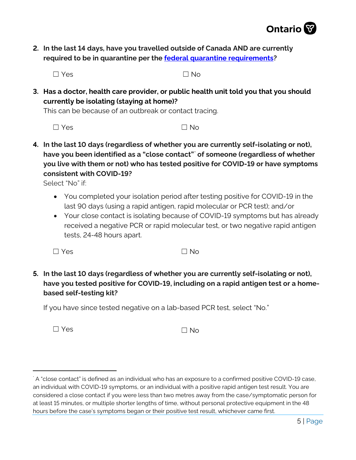

**2. In the last 14 days, have you travelled outside of Canada AND are currently required to be in quarantine per the [federal quarantine requirements?](https://travel.gc.ca/travel-covid/travel-restrictions/isolation)**

 $\square$  Yes  $\square$  No

**3. Has a doctor, health care provider, or public health unit told you that you should currently be isolating (staying at home)?**

This can be because of an outbreak or contact tracing.

 $\Box$  Yes  $\Box$  No.

**4. In the last 10 days (regardless of whether you are currently self-isolating or not), have you been identified as a "close contact"[\\*](#page-4-0) of someone (regardless of whether you live with them or not) who has tested positive for COVID-19 or have symptoms consistent with COVID-19?**

Select "No" if:

- You completed your isolation period after testing positive for COVID-19 in the last 90 days (using a rapid antigen, rapid molecular or PCR test); and/or
- Your close contact is isolating because of COVID-19 symptoms but has already received a negative PCR or rapid molecular test, or two negative rapid antigen tests, 24-48 hours apart.

 $\Box$  Yes  $\Box$  No

**5. In the last 10 days (regardless of whether you are currently self-isolating or not), have you tested positive for COVID-19, including on a rapid antigen test or a homebased self-testing kit?**

If you have since tested negative on a lab-based PCR test, select "No."

 $\square$  Yes  $\square$  No.

<span id="page-4-0"></span>A "close contact" is defined as an individual who has an exposure to a confirmed positive COVID-19 case, an individual with COVID-19 symptoms, or an individual with a positive rapid antigen test result. You are considered a close contact if you were less than two metres away from the case/symptomatic person for at least 15 minutes, or multiple shorter lengths of time, without personal protective equipment in the 48 hours before the case's symptoms began or their positive test result, whichever came first.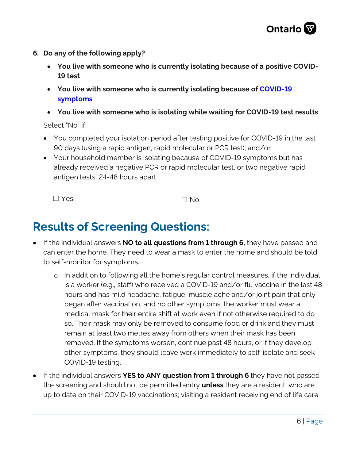

- **6. Do any of the following apply?** 
	- **You live with someone who is currently isolating because of a positive COVID-19 test**
	- **You live with someone who is currently isolating because of [COVID-19](https://covid-19.ontario.ca/exposed#symtoms)  [symptoms](https://covid-19.ontario.ca/exposed#symtoms)**
	- **You live with someone who is isolating while waiting for COVID-19 test results**

Select "No" if:

- You completed your isolation period after testing positive for COVID-19 in the last 90 days (using a rapid antigen, rapid molecular or PCR test); and/or
- Your household member is isolating because of COVID-19 symptoms but has already received a negative PCR or rapid molecular test, or two negative rapid antigen tests, 24-48 hours apart.

 $\Box$  Yes  $\Box$  No

## **Results of Screening Questions:**

- If the individual answers **NO to all questions from 1 through 6,** they have passed and can enter the home. They need to wear a mask to enter the home and should be told to self-monitor for symptoms.
	- o In addition to following all the home's regular control measures, if the individual is a worker (e.g., staff) who received a COVID-19 and/or flu vaccine in the last 48 hours and has mild headache, fatigue, muscle ache and/or joint pain that only began after vaccination, and no other symptoms, the worker must wear a medical mask for their entire shift at work even if not otherwise required to do so. Their mask may only be removed to consume food or drink and they must remain at least two metres away from others when their mask has been removed. If the symptoms worsen, continue past 48 hours, or if they develop other symptoms, they should leave work immediately to self-isolate and seek COVID-19 testing.
- If the individual answers **YES to ANY question from 1 through 6** they have not passed the screening and should not be permitted entry **unless** they are a resident; who are up to date on their COVID-19 vaccinations; visiting a resident receiving end of life care;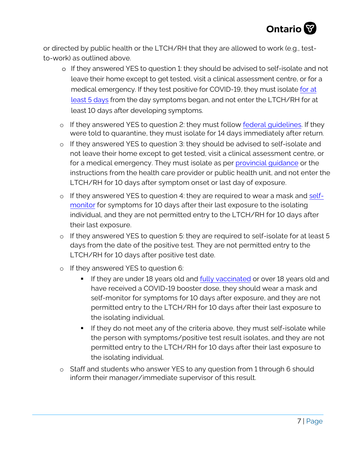

or directed by public health or the LTCH/RH that they are allowed to work (e.g., testto-work) as outlined above.

- o If they answered YES to question 1: they should be advised to self-isolate and not leave their home except to get tested, visit a clinical assessment centre, or for a medical emergency. If they test positive for COVID-19, they must isolate for at least [5 days f](https://covid-19.ontario.ca/exposed?utm_source=mobile-app-organic&utm_medium=referral&utm_campaign=covid-alert-mobile-app-english&utm_content=covidalertapppage-text#symptoms)rom the day symptoms began, and not enter the LTCH/RH for at least 10 days after developing symptoms.
- o If they answered YES to question 2: they must follow [federal guidelines.](https://travel.gc.ca/travel-covid) If they were told to quarantine, they must isolate for 14 days immediately after return.
- o If they answered YES to question 3: they should be advised to self-isolate and not leave their home except to get tested, visit a clinical assessment centre, or for a medical emergency. They must isolate as per [provincial guidance](https://www.health.gov.on.ca/en/pro/programs/publichealth/coronavirus/docs/contact_mngmt/management_cases_contacts_omicron.pdf) or the instructions from the health care provider or public health unit, and not enter the LTCH/RH for 10 days after symptom onset or last day of exposure.
- o If they answered YES to question 4: they are required to wear a mask and [self](https://www.publichealthontario.ca/-/media/documents/ncov/factsheet-covid-19-self-monitor.pdf?la=en)[monitor](https://www.publichealthontario.ca/-/media/documents/ncov/factsheet-covid-19-self-monitor.pdf?la=en) for symptoms for 10 days after their last exposure to the isolating individual, and they are not permitted entry to the LTCH/RH for 10 days after their last exposure.
- o If they answered YES to question 5: they are required to self-isolate for at least 5 days from the date of the positive test. They are not permitted entry to the LTCH/RH for 10 days after positive test date.
- o If they answered YES to question 6:
	- If they are under 18 years old and [fully vaccinated](https://health.gov.on.ca/en/pro/programs/publichealth/coronavirus/docs/vaccine/COVID-19_fully_vaccinated_status_ontario.pdf) or over 18 years old and have received a COVID-19 booster dose, they should wear a mask and self-monitor for symptoms for 10 days after exposure, and they are not permitted entry to the LTCH/RH for 10 days after their last exposure to the isolating individual.
	- If they do not meet any of the criteria above, they must self-isolate while the person with symptoms/positive test result isolates, and they are not permitted entry to the LTCH/RH for 10 days after their last exposure to the isolating individual.
- o Staff and students who answer YES to any question from 1 through 6 should inform their manager/immediate supervisor of this result.